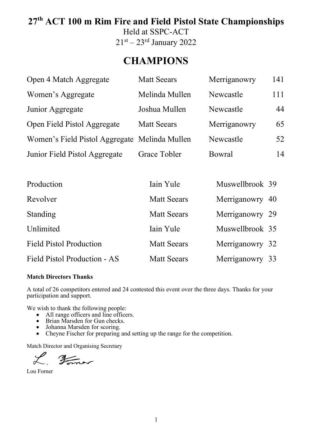# **27th ACT 100 m Rim Fire and Field Pistol State Championships**

Held at SSPC-ACT  $21<sup>st</sup> - 23<sup>rd</sup> January 2022$ 

# **CHAMPIONS**

| Open 4 Match Aggregate                        | <b>Matt Seears</b> | Merriganowry  | 141 |
|-----------------------------------------------|--------------------|---------------|-----|
| Women's Aggregate                             | Melinda Mullen     | Newcastle     | 111 |
| Junior Aggregate                              | Joshua Mullen      | Newcastle     | 44  |
| Open Field Pistol Aggregate                   | <b>Matt Seears</b> | Merriganowry  | 65  |
| Women's Field Pistol Aggregate Melinda Mullen |                    | Newcastle     | 52  |
| Junior Field Pistol Aggregate                 | Grace Tobler       | <b>Bowral</b> | 14  |
|                                               |                    |               |     |

| Production                     | Iain Yule          | Muswellbrook 39 |  |
|--------------------------------|--------------------|-----------------|--|
| Revolver                       | <b>Matt Seears</b> | Merriganowry 40 |  |
| Standing                       | <b>Matt Seears</b> | Merriganowry 29 |  |
| Unlimited                      | Iain Yule          | Muswellbrook 35 |  |
| <b>Field Pistol Production</b> | <b>Matt Seears</b> | Merriganowry 32 |  |
| Field Pistol Production - AS   | <b>Matt Seears</b> | Merriganowry 33 |  |

#### **Match Directors Thanks**

A total of 26 competitors entered and 24 contested this event over the three days. Thanks for your participation and support.

We wish to thank the following people:

- All range officers and line officers.
- Brian Marsden for Gun checks.
- Johanna Marsden for scoring.
- Cheyne Fischer for preparing and setting up the range for the competition.

Match Director and Organising Secretary

L Former

Lou Forner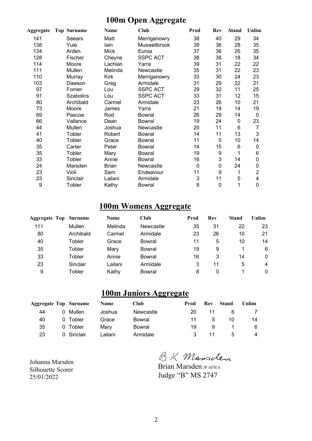#### **100m Open Aggregate**

| Aggregate | <b>Top Surname</b> | Name         | Club            | Prod        | Rev         | <b>Stand</b> | Unlim          |
|-----------|--------------------|--------------|-----------------|-------------|-------------|--------------|----------------|
| 141       | Seears             | Matt         | Merriganowry    | 38          | 40          | 29           | 34             |
| 138       | Yule               | lain         | Muswellbrook    | 39          | 36          | 28           | 35             |
| 134       | Arden              | <b>Mick</b>  | Euroa           | 37          | 36          | 26           | 35             |
| 128       | Fischer            | Cheyne       | <b>SSPC ACT</b> | 38          | 38          | 18           | 34             |
| 114       | Moore              | Lachlan      | Yarra           | 39          | 31          | 22           | 22             |
| 111       | Mullen             | Melinda      | Newcastle       | 35          | 31          | 22           | 23             |
| 110       | Murray             | Kirk         | Merriganowry    | 33          | 30          | 24           | 23             |
| 103       | Dawson             | Greg         | Armidale        | 31          | 29          | 22           | 21             |
| 97        | Forner             | Lou          | <b>SSPC ACT</b> | 29          | 32          | 11           | 25             |
| 91        | <b>Szabolics</b>   | Lou          | <b>SSPC ACT</b> | 33          | 31          | 12           | 15             |
| 80        | Archibald          | Carmel       | Armidale        | 23          | 26          | 10           | 21             |
| 73        | Moore              | James        | Yarra           | 21          | 19          | 14           | 19             |
| 69        | Pascoe             | Rod          | <b>Bowral</b>   | 26          | 29          | 14           | $\mathbf 0$    |
| 66        | Vallance           | Dean         | <b>Bowral</b>   | 19          | 24          | $\mathbf 0$  | 23             |
| 44        | Mullen             | Joshua       | Newcastle       | 20          | 11          | 6            | 7              |
| 41        | Tobler             | Robert       | <b>Bowral</b>   | 14          | 11          | 13           | 3              |
| 40        | Tobler             | Grace        | <b>Bowral</b>   | 11          | 5           | 10           | 14             |
| 35        | Carter             | Peter        | <b>Bowral</b>   | 14          | 15          | 6            | 0              |
| 35        | Tobler             | Mary         | <b>Bowral</b>   | 19          | 9           | 1            | 6              |
| 33        | Tobler             | Annie        | <b>Bowral</b>   | 16          | 3           | 14           | 0              |
| 24        | Marsden            | <b>Brian</b> | Newcastle       | $\mathbf 0$ | $\mathbf 0$ | 24           | 0              |
| 23        | Violi              | Sam          | Endeavour       | 11          | 9           | 1            | $\overline{2}$ |
| 23        | Sinclair           | Lailani      | Armidale        | 3           | 11          | 5            | 4              |
| 9         | Tobler             | Kathy        | Bowral          | 8           | $\mathbf 0$ | 1            | 0              |

### **100m Womens Aggregate**

| <b>Aggregate Top Surname</b> |           | <b>Name</b> | Club      | Prod | Rev | <b>Stand</b> | Unlim        |
|------------------------------|-----------|-------------|-----------|------|-----|--------------|--------------|
| 111                          | Mullen    | Melinda     | Newcastle | 35   | 31  | 22           | 23           |
| 80                           | Archibald | Carmel      | Armidale  | 23   | 26  | 10           | 21           |
| 40                           | Tobler    | Grace       | Bowral    | 11   | 5   | 10           | 14           |
| 35                           | Tobler    | Mary        | Bowral    | 19   | 9   |              | 6            |
| 33                           | Tobler    | Annie       | Bowral    | 16   | 3   | 14           | $\mathbf{0}$ |
| 23                           | Sinclair  | ∟ailani     | Armidale  | 3    | 11  | 5            | 4            |
| 9                            | Tobler    | Kathy       | Bowral    | 8    | 0   |              | $\Omega$     |

### **100m Juniors Aggregate**

| <b>Aggregate Top Surname</b> |            | <b>Name</b> | <b>Club</b> | Prod | <b>Rev</b> | Stand        | Unlim |
|------------------------------|------------|-------------|-------------|------|------------|--------------|-------|
| 44                           | 0 Mullen   | Joshua      | Newcastle   | 20   | 11         | 6            |       |
| 40                           | 0 Tobler   | Grace       | Bowral      | 11   | 5          | 10           | 14    |
| 35                           | 0 Tobler   | Marv        | Bowral      | 19   | 9          |              | 6     |
| 23                           | 0 Sinclair | Lailani     | Armidale    | 3.   | 11         | $\mathbf{b}$ | 4     |

Johanna Marsden Silhouette Scorer 25/01/2022

BK Mansclen

Brian Marsden JP AFIEA Judge "B" MS 2747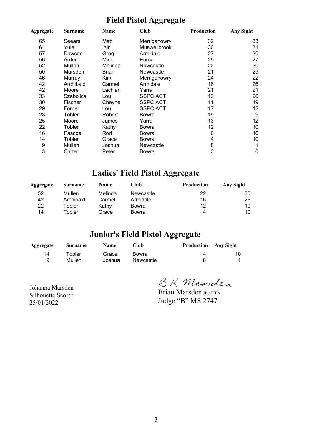#### **Field Pistol Aggregate**

| Aggregate | <b>Surname</b>   | Name         | Club             | Production | <b>Any Sight</b> |
|-----------|------------------|--------------|------------------|------------|------------------|
| 65        | Seears           | Matt         | Merriganowry     | 32         | 33               |
| 61        | Yule             | lain         | Muswellbrook     | 30         | 31               |
| 57        | Dawson           | Greg         | Armidale         | 27         | 30               |
| 56        | Arden            | Mick         | Euroa            | 29         | 27               |
| 52        | Mullen           | Melinda      | <b>Newcastle</b> | 22         | 30               |
| 50        | Marsden          | <b>Brian</b> | Newcastle        | 21         | 29               |
| 46        | Murray           | Kirk         | Merriganowry     | 24         | 22               |
| 42        | Archibald        | Carmel       | Armidale         | 16         | 26               |
| 42        | Moore            | Lachlan      | Yarra            | 21         | 21               |
| 33        | <b>Szabolics</b> | Lou          | <b>SSPC ACT</b>  | 13         | 20               |
| 30        | Fischer          | Cheyne       | <b>SSPC ACT</b>  | 11         | 19               |
| 29        | Forner           | Lou          | <b>SSPC ACT</b>  | 17         | 12               |
| 28        | Tobler           | Robert       | Bowral           | 19         | 9                |
| 25        | Moore            | James        | Yarra            | 13         | 12               |
| 22        | Tobler           | Kathy        | <b>Bowral</b>    | 12         | 10               |
| 16        | Pascoe           | Rod          | <b>Bowral</b>    | 0          | 16               |
| 14        | Tobler           | Grace        | Bowral           | 4          | 10               |
| 9         | Mullen           | Joshua       | Newcastle        | 8          | 1                |
| 3         | Carter           | Peter        | Bowral           | 3          | 0                |

### **Ladies' Field Pistol Aggregate**

| Aggregate | <b>Surname</b> | <b>Name</b> | Club      | <b>Production</b> | Any Sight |
|-----------|----------------|-------------|-----------|-------------------|-----------|
| 52        | Mullen         | Melinda     | Newcastle | 22                | 30        |
| 42        | Archibald      | Carmel      | Armidale  | 16                | 26        |
| 22        | Tobler         | Kathy       | Bowral    | 12                | 10        |
| 14        | Гоbler         | Grace       | Bowral    | 4                 | 10        |

### **Junior's Field Pistol Aggregate**

| Aggregate | <b>Surname</b> | <b>Name</b> | Club      | <b>Production</b> Any Sight |    |
|-----------|----------------|-------------|-----------|-----------------------------|----|
| 14        | Tobler         | Grace       | Bowral    |                             | 10 |
| 9         | Mullen         | Joshua      | Newcastle |                             |    |

Johanna Marsden Silhouette Scorer 25/01/2022

BK Mansclen

Brian Marsden JP AFIEA Judge "B" MS 2747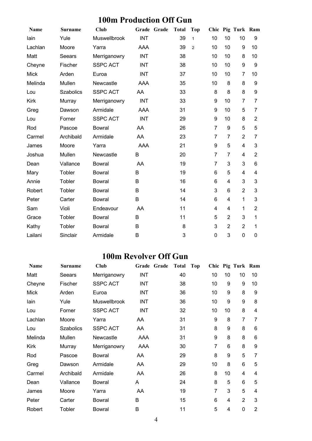### **100m Production Off Gun**

| <b>Name</b> | <b>Surname</b>   | <b>Club</b>     |            | Grade Grade | <b>Total</b> | <b>Top</b>     |                |                | Chic Pig Turk Ram |                |
|-------------|------------------|-----------------|------------|-------------|--------------|----------------|----------------|----------------|-------------------|----------------|
| lain        | Yule             | Muswellbrook    | <b>INT</b> |             | 39           | $\mathbf{1}$   | 10             | 10             | 10                | 9              |
| Lachlan     | Moore            | Yarra           | AAA        |             | 39           | $\overline{2}$ | 10             | 10             | 9                 | 10             |
| Matt        | Seears           | Merriganowry    | <b>INT</b> |             | 38           |                | 10             | 10             | 8                 | 10             |
| Cheyne      | Fischer          | <b>SSPC ACT</b> | <b>INT</b> |             | 38           |                | 10             | 10             | 9                 | 9              |
| <b>Mick</b> | Arden            | Euroa           | <b>INT</b> |             | 37           |                | 10             | 10             | $\overline{7}$    | 10             |
| Melinda     | Mullen           | Newcastle       | AAA        |             | 35           |                | 10             | 8              | 8                 | 9              |
| Lou         | <b>Szabolics</b> | <b>SSPC ACT</b> | AA         |             | 33           |                | 8              | 8              | 8                 | 9              |
| Kirk        | Murray           | Merriganowry    | <b>INT</b> |             | 33           |                | 9              | 10             | $\overline{7}$    | $\overline{7}$ |
| Greg        | Dawson           | Armidale        | AAA        |             | 31           |                | 9              | 10             | 5                 | 7              |
| Lou         | Forner           | <b>SSPC ACT</b> | <b>INT</b> |             | 29           |                | 9              | 10             | 8                 | $\overline{2}$ |
| Rod         | Pascoe           | <b>Bowral</b>   | AA         |             | 26           |                | $\overline{7}$ | 9              | 5                 | 5              |
| Carmel      | Archibald        | Armidale        | AA         |             | 23           |                | $\overline{7}$ | $\overline{7}$ | $\overline{2}$    | 7              |
| James       | Moore            | Yarra           | <b>AAA</b> |             | 21           |                | 9              | 5              | $\overline{4}$    | 3              |
| Joshua      | Mullen           | Newcastle       | B          |             | 20           |                | $\overline{7}$ | $\overline{7}$ | 4                 | $\overline{2}$ |
| Dean        | Vallance         | <b>Bowral</b>   | AA         |             | 19           |                | 7              | 3              | 3                 | 6              |
| Mary        | Tobler           | <b>Bowral</b>   | B          |             | 19           |                | 6              | 5              | 4                 | 4              |
| Annie       | Tobler           | <b>Bowral</b>   | B          |             | 16           |                | 6              | 4              | 3                 | 3              |
| Robert      | Tobler           | <b>Bowral</b>   | B          |             | 14           |                | 3              | 6              | $\overline{2}$    | 3              |
| Peter       | Carter           | <b>Bowral</b>   | B          |             | 14           |                | 6              | 4              | 1                 | 3              |
| Sam         | Violi            | Endeavour       | AA         |             | 11           |                | 4              | 4              | 1                 | $\overline{2}$ |
| Grace       | Tobler           | <b>Bowral</b>   | B          |             | 11           |                | 5              | $\overline{2}$ | 3                 | $\mathbf{1}$   |
| Kathy       | Tobler           | <b>Bowral</b>   | B          |             | 8            |                | 3              | $\overline{2}$ | $\overline{2}$    | 1              |
| Lailani     | Sinclair         | Armidale        | B          |             | 3            |                | 0              | 3              | $\overline{0}$    | 0              |

#### **100m Revolver Off Gun**

| Name        | <b>Surname</b>   | Club            | Grade Grade | <b>Total</b> | Top |    |    | Chic Pig Turk Ram |                |
|-------------|------------------|-----------------|-------------|--------------|-----|----|----|-------------------|----------------|
| Matt        | Seears           | Merriganowry    | <b>INT</b>  | 40           |     | 10 | 10 | 10                | 10             |
| Cheyne      | Fischer          | <b>SSPC ACT</b> | <b>INT</b>  | 38           |     | 10 | 9  | 9                 | 10             |
| <b>Mick</b> | Arden            | Euroa           | INT         | 36           |     | 10 | 9  | 8                 | 9              |
| lain        | Yule             | Muswellbrook    | <b>INT</b>  | 36           |     | 10 | 9  | 9                 | 8              |
| Lou         | Forner           | <b>SSPC ACT</b> | <b>INT</b>  | 32           |     | 10 | 10 | 8                 | 4              |
| Lachlan     | Moore            | Yarra           | AA          | 31           |     | 9  | 8  | $\overline{7}$    | 7              |
| Lou         | <b>Szabolics</b> | <b>SSPC ACT</b> | AA          | 31           |     | 8  | 9  | 8                 | 6              |
| Melinda     | Mullen           | Newcastle       | AAA         | 31           |     | 9  | 8  | 8                 | 6              |
| Kirk        | Murray           | Merriganowry    | AAA         | 30           |     | 7  | 6  | 8                 | 9              |
| Rod         | Pascoe           | <b>Bowral</b>   | AA          | 29           |     | 8  | 9  | 5                 | 7              |
| Greg        | Dawson           | Armidale        | AA          | 29           |     | 10 | 8  | 6                 | 5              |
| Carmel      | Archibald        | Armidale        | AA          | 26           |     | 8  | 10 | 4                 | $\overline{4}$ |
| Dean        | Vallance         | <b>Bowral</b>   | A           | 24           |     | 8  | 5  | 6                 | 5              |
| James       | Moore            | Yarra           | AA          | 19           |     | 7  | 3  | 5                 | 4              |
| Peter       | Carter           | <b>Bowral</b>   | B           | 15           |     | 6  | 4  | $\overline{2}$    | 3              |
| Robert      | Tobler           | <b>Bowral</b>   | B           | 11           |     | 5  | 4  | $\mathbf{0}$      | $\overline{2}$ |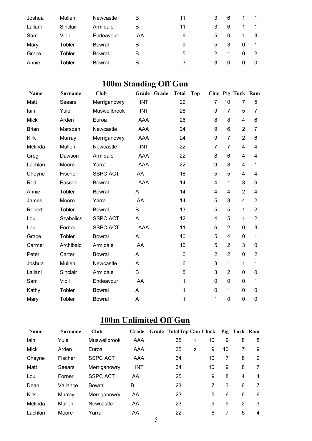| Joshua  | Mullen   | Newcastle     | в  | 11 | 3 | 6  |   |   |
|---------|----------|---------------|----|----|---|----|---|---|
| Lailani | Sinclair | Armidale      | в  | 11 |   | 6  |   |   |
| Sam     | Violi    | Endeavour     | AA | 9  | 5 |    |   | 3 |
| Mary    | Tobler   | Bowral        | в  | 9  | 5 | -3 | 0 |   |
| Grace   | Tobler   | <b>Bowral</b> | в  | 5  | 2 |    | 0 | 2 |
| Annie   | Tobler   | Bowral        | в  | 3  | 3 |    |   | 0 |

# **100m Standing Off Gun**

| <b>Name</b>  | <b>Surname</b>   | <b>Club</b>     |            | Grade Grade | <b>Total</b> | <b>Top</b> |                |                | Chic Pig Turk Ram |                |
|--------------|------------------|-----------------|------------|-------------|--------------|------------|----------------|----------------|-------------------|----------------|
| Matt         | Seears           | Merriganowry    | <b>INT</b> |             | 29           |            | 7              | 10             | 7                 | 5              |
| lain         | Yule             | Muswellbrook    | <b>INT</b> |             | 28           |            | 9              | $\overline{7}$ | 5                 | 7              |
| <b>Mick</b>  | Arden            | Euroa           | AAA        |             | 26           |            | 8              | 8              | 4                 | 6              |
| <b>Brian</b> | Marsden          | Newcastle       | AAA        |             | 24           |            | 9              | 6              | $\overline{2}$    | $\overline{7}$ |
| <b>Kirk</b>  | Murray           | Merriganowry    | <b>AAA</b> |             | 24           |            | 9              | $\overline{7}$ | $\overline{2}$    | 6              |
| Melinda      | Mullen           | Newcastle       | <b>INT</b> |             | 22           |            | $\overline{7}$ | 7              | $\overline{4}$    | 4              |
| Greg         | Dawson           | Armidale        | AAA        |             | 22           |            | 8              | 6              | 4                 | 4              |
| Lachlan      | Moore            | Yarra           | <b>AAA</b> |             | 22           |            | 9              | 8              | $\overline{4}$    | $\mathbf{1}$   |
| Cheyne       | Fischer          | <b>SSPC ACT</b> | AA         |             | 18           |            | 5              | 5              | 4                 | 4              |
| Rod          | Pascoe           | <b>Bowral</b>   | <b>AAA</b> |             | 14           |            | 4              | 1              | 3                 | 6              |
| Annie        | Tobler           | <b>Bowral</b>   | A          |             | 14           |            | 4              | 4              | $\overline{2}$    | 4              |
| James        | Moore            | Yarra           | AA         |             | 14           |            | 5              | 3              | 4                 | $\overline{2}$ |
| Robert       | Tobler           | <b>Bowral</b>   | B          |             | 13           |            | 5              | 5              | 1                 | $\overline{2}$ |
| Lou          | <b>Szabolics</b> | <b>SSPC ACT</b> | A          |             | 12           |            | 4              | 5              | 1                 | $\overline{2}$ |
| Lou          | Forner           | <b>SSPC ACT</b> | <b>AAA</b> |             | 11           |            | 6              | $\overline{2}$ | 0                 | 3              |
| Grace        | Tobler           | <b>Bowral</b>   | A          |             | 10           |            | 5              | $\overline{4}$ | $\mathbf 0$       | 1              |
| Carmel       | Archibald        | Armidale        | AA         |             | 10           |            | 5              | $\overline{2}$ | 3                 | 0              |
| Peter        | Carter           | <b>Bowral</b>   | A          |             | 6            |            | $\overline{2}$ | $\overline{2}$ | 0                 | $\overline{2}$ |
| Joshua       | Mullen           | Newcastle       | A          |             | 6            |            | 3              | 1              | 1                 | 1              |
| Lailani      | Sinclair         | Armidale        | B          |             | 5            |            | 3              | $\overline{2}$ | 0                 | 0              |
| Sam          | Violi            | Endeavour       | AA         |             | 1            |            | 0              | $\overline{0}$ | 0                 | 1              |
| Kathy        | Tobler           | <b>Bowral</b>   | A          |             | 1            |            | 0              | 1              | 0                 | 0              |
| Mary         | Tobler           | <b>Bowral</b>   | Α          |             | 1            |            | 1              | 0              | 0                 | 0              |

# **100m Unlimited Off Gun**

| <b>Name</b> | <b>Surname</b> | Club                | Grade      | Grade TotalTop Gun Chick Pig Turk Ram |   |    |    |   |   |
|-------------|----------------|---------------------|------------|---------------------------------------|---|----|----|---|---|
| lain        | Yule           | <b>Muswellbrook</b> | AAA        | 35                                    | 1 | 10 | 9  | 8 | 8 |
| <b>Mick</b> | Arden          | Euroa               | AAA        | 35                                    | 2 | 9  | 10 | 7 | 9 |
| Cheyne      | Fischer        | <b>SSPC ACT</b>     | AAA        | 34                                    |   | 10 | 7  | 8 | 9 |
| Matt        | Seears         | Merriganowry        | <b>INT</b> | 34                                    |   | 10 | 9  | 8 | 7 |
| Lou         | Forner         | <b>SSPC ACT</b>     | AA         | 25                                    |   | 9  | 8  | 4 | 4 |
| Dean        | Vallance       | Bowral              | B          | 23                                    |   | 7  | 3  | 6 | 7 |
| <b>Kirk</b> | Murray         | Merriganowry        | AA         | 23                                    |   | 5  | 6  | 6 | 6 |
| Melinda     | Mullen         | Newcastle           | AA.        | 23                                    |   | 9  | 9  | 2 | 3 |
| Lachlan     | Moore          | Yarra               | AA         | 22                                    |   | 6  | 7  | 5 | 4 |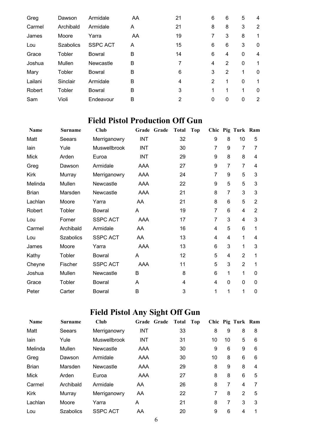| Greg    | Dawson           | Armidale        | AA | 21 | 6 | 6              | 5        | 4              |
|---------|------------------|-----------------|----|----|---|----------------|----------|----------------|
| Carmel  | Archibald        | Armidale        | A  | 21 | 8 | 8              | 3        | $\overline{2}$ |
| James   | Moore            | Yarra           | AA | 19 | 7 | 3              | 8        |                |
| Lou     | <b>Szabolics</b> | <b>SSPC ACT</b> | A  | 15 | 6 | 6              | 3        | $\mathbf{0}$   |
| Grace   | Tobler           | Bowral          | В  | 14 | 6 | 4              | 0        | 4              |
| Joshua  | Mullen           | Newcastle       | В  |    | 4 | $\overline{2}$ | 0        |                |
| Mary    | Tobler           | Bowral          | B  | 6  | 3 | 2              | 1        | $\mathbf 0$    |
| Lailani | Sinclair         | Armidale        | B  | 4  | 2 | 1              | $\Omega$ |                |
| Robert  | Tobler           | Bowral          | B  | 3  | 1 | 1              | 1        | $\mathbf 0$    |
| Sam     | Violi            | Endeavour       | B  | 2  | 0 | 0              | 0        | 2              |

## **Field Pistol Production Off Gun**

| <b>Name</b>  | <b>Surname</b>   | <b>Club</b>     | Grade Grade | <b>Total</b> | <b>Top</b> |                |                | Chic Pig Turk Ram |                |
|--------------|------------------|-----------------|-------------|--------------|------------|----------------|----------------|-------------------|----------------|
| Matt         | Seears           | Merriganowry    | <b>INT</b>  | 32           |            | 9              | 8              | 10                | 5              |
| lain         | Yule             | Muswellbrook    | <b>INT</b>  | 30           |            | $\overline{7}$ | 9              | $\overline{7}$    | 7              |
| <b>Mick</b>  | Arden            | Euroa           | <b>INT</b>  | 29           |            | 9              | 8              | 8                 | 4              |
| Greg         | Dawson           | Armidale        | AAA         | 27           |            | 9              | $\overline{7}$ | $\overline{7}$    | 4              |
| <b>Kirk</b>  | Murray           | Merriganowry    | AAA         | 24           |            | 7              | 9              | 5                 | 3              |
| Melinda      | Mullen           | Newcastle       | AAA         | 22           |            | 9              | 5              | 5                 | 3              |
| <b>Brian</b> | Marsden          | Newcastle       | AAA         | 21           |            | 8              | 7              | 3                 | 3              |
| Lachlan      | Moore            | Yarra           | AA          | 21           |            | 8              | 6              | 5                 | $\overline{2}$ |
| Robert       | Tobler           | <b>Bowral</b>   | A           | 19           |            | $\overline{7}$ | 6              | 4                 | $\overline{2}$ |
| Lou          | Forner           | <b>SSPC ACT</b> | AAA         | 17           |            | 7              | 3              | 4                 | 3              |
| Carmel       | Archibald        | Armidale        | AA          | 16           |            | 4              | 5              | 6                 | 1              |
| Lou          | <b>Szabolics</b> | <b>SSPC ACT</b> | AA          | 13           |            | 4              | 4              | 1                 | 4              |
| James        | Moore            | Yarra           | AAA         | 13           |            | 6              | 3              | 1                 | 3              |
| Kathy        | Tobler           | Bowral          | A           | 12           |            | 5              | 4              | $\overline{2}$    | 1              |
| Cheyne       | Fischer          | <b>SSPC ACT</b> | AAA         | 11           |            | 5              | 3              | $\overline{2}$    | 1              |
| Joshua       | Mullen           | Newcastle       | B           | 8            |            | 6              | 1              | 1                 | 0              |
| Grace        | Tobler           | <b>Bowral</b>   | A           | 4            |            | 4              | 0              | $\mathbf 0$       | 0              |
| Peter        | Carter           | <b>Bowral</b>   | B           | 3            |            | 1              | 1              | 1                 | 0              |

# **Field Pistol Any Sight Off Gun**

| <b>Name</b>  | <b>Surname</b>   | Club            | Grade Grade | Total | Top |    |    | Chic Pig Turk Ram |   |
|--------------|------------------|-----------------|-------------|-------|-----|----|----|-------------------|---|
| Matt         | Seears           | Merriganowry    | <b>INT</b>  | 33    |     | 8  | 9  | 8                 | 8 |
| lain         | Yule             | Muswellbrook    | <b>INT</b>  | 31    |     | 10 | 10 | 5                 | 6 |
| Melinda      | Mullen           | Newcastle       | AAA         | 30    |     | 9  | 6  | 9                 | 6 |
| Greg         | Dawson           | Armidale        | AAA         | 30    |     | 10 | 8  | 6                 | 6 |
| <b>Brian</b> | Marsden          | Newcastle       | AAA         | 29    |     | 8  | 9  | 8                 | 4 |
| <b>Mick</b>  | Arden            | Euroa           | AAA         | 27    |     | 8  | 8  | 6                 | 5 |
| Carmel       | Archibald        | Armidale        | AA          | 26    |     | 8  | 7  | 4                 |   |
| Kirk         | Murray           | Merriganowry    | AA          | 22    |     | 7  | 8  | $\mathcal{P}$     | 5 |
| Lachlan      | Moore            | Yarra           | A           | 21    |     | 8  | 7  | 3                 | 3 |
| Lou          | <b>Szabolics</b> | <b>SSPC ACT</b> | AA          | 20    |     | 9  | 6  | 4                 |   |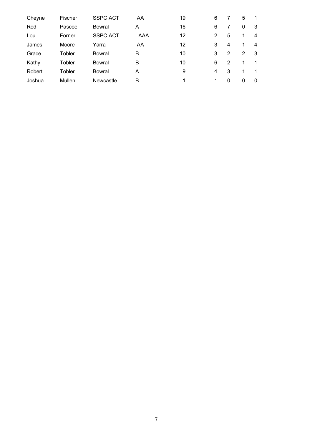| Cheyne | Fischer | <b>SSPC ACT</b> | AA  | 19 | 6 |   | 5 |    |
|--------|---------|-----------------|-----|----|---|---|---|----|
| Rod    | Pascoe  | Bowral          | А   | 16 | 6 |   | 0 | 3  |
| Lou    | Forner  | <b>SSPC ACT</b> | AAA | 12 | 2 | 5 |   | 4  |
| James  | Moore   | Yarra           | AA  | 12 | 3 | 4 |   | 4  |
| Grace  | Tobler  | Bowral          | в   | 10 | 3 | 2 | 2 | -3 |
| Kathy  | Tobler  | Bowral          | в   | 10 | 6 | 2 |   |    |
| Robert | Tobler  | Bowral          | A   | 9  | 4 | 3 | 1 |    |
| Joshua | Mullen  | Newcastle       | в   | 1  | 1 | 0 | 0 | 0  |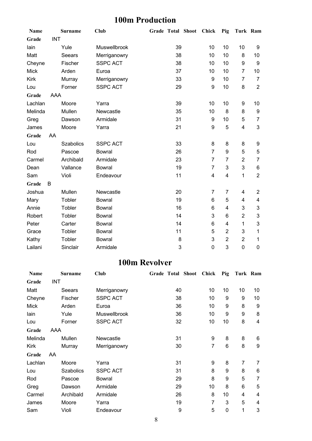### **100m Production**

| Name        |            | <b>Surname</b>   | Club            | <b>Grade Total Shoot</b> |    | <b>Chick</b>     | Pig                     | Turk Ram                |                |
|-------------|------------|------------------|-----------------|--------------------------|----|------------------|-------------------------|-------------------------|----------------|
| Grade       | <b>INT</b> |                  |                 |                          |    |                  |                         |                         |                |
| lain        |            | Yule             | Muswellbrook    |                          | 39 | 10               | 10                      | 10                      | 9              |
| Matt        |            | Seears           | Merriganowry    |                          | 38 | 10               | 10                      | 8                       | 10             |
| Cheyne      |            | Fischer          | <b>SSPC ACT</b> |                          | 38 | 10               | 10                      | $\boldsymbol{9}$        | 9              |
| <b>Mick</b> |            | Arden            | Euroa           |                          | 37 | 10               | 10                      | $\overline{7}$          | 10             |
| <b>Kirk</b> |            | Murray           | Merriganowry    |                          | 33 | 9                | 10                      | $\overline{7}$          | $\overline{7}$ |
| Lou         |            | Forner           | <b>SSPC ACT</b> |                          | 29 | 9                | 10                      | 8                       | $\overline{2}$ |
| Grade       | AAA        |                  |                 |                          |    |                  |                         |                         |                |
| Lachlan     |            | Moore            | Yarra           |                          | 39 | 10               | 10                      | 9                       | 10             |
| Melinda     |            | Mullen           | Newcastle       |                          | 35 | 10               | 8                       | 8                       | 9              |
| Greg        |            | Dawson           | Armidale        |                          | 31 | $\boldsymbol{9}$ | 10                      | 5                       | $\overline{7}$ |
| James       |            | Moore            | Yarra           |                          | 21 | 9                | 5                       | $\overline{\mathbf{4}}$ | 3              |
| Grade       | AA         |                  |                 |                          |    |                  |                         |                         |                |
| Lou         |            | <b>Szabolics</b> | <b>SSPC ACT</b> |                          | 33 | 8                | 8                       | 8                       | 9              |
| Rod         |            | Pascoe           | <b>Bowral</b>   |                          | 26 | $\overline{7}$   | 9                       | 5                       | 5              |
| Carmel      |            | Archibald        | Armidale        |                          | 23 | $\overline{7}$   | 7                       | $\overline{2}$          | 7              |
| Dean        |            | Vallance         | <b>Bowral</b>   |                          | 19 | $\overline{7}$   | 3                       | 3                       | 6              |
| Sam         |            | Violi            | Endeavour       |                          | 11 | 4                | $\overline{\mathbf{4}}$ | 1                       | $\overline{2}$ |
| Grade       | B          |                  |                 |                          |    |                  |                         |                         |                |
| Joshua      |            | Mullen           | Newcastle       |                          | 20 | 7                | 7                       | 4                       | $\overline{2}$ |
| Mary        |            | Tobler           | <b>Bowral</b>   |                          | 19 | 6                | 5                       | 4                       | 4              |
| Annie       |            | Tobler           | <b>Bowral</b>   |                          | 16 | 6                | 4                       | 3                       | 3              |
| Robert      |            | Tobler           | <b>Bowral</b>   |                          | 14 | 3                | 6                       | $\overline{2}$          | 3              |
| Peter       |            | Carter           | <b>Bowral</b>   |                          | 14 | 6                | $\overline{4}$          | 1                       | 3              |
| Grace       |            | Tobler           | <b>Bowral</b>   |                          | 11 | 5                | $\overline{2}$          | 3                       | 1              |
| Kathy       |            | Tobler           | <b>Bowral</b>   |                          | 8  | $\mathbf{3}$     | $\overline{2}$          | $\overline{2}$          | 1              |
| Lailani     |            | Sinclair         | Armidale        |                          | 3  | $\mathbf 0$      | 3                       | $\pmb{0}$               | 0              |

#### **100m Revolver**

| <b>Name</b> |            | <b>Surname</b>   | <b>Club</b>     |    | <b>Grade Total Shoot</b> | Chick | Pig | Turk Ram |    |
|-------------|------------|------------------|-----------------|----|--------------------------|-------|-----|----------|----|
| Grade       | <b>INT</b> |                  |                 |    |                          |       |     |          |    |
| Matt        |            | Seears           | Merriganowry    | 40 |                          | 10    | 10  | 10       | 10 |
| Cheyne      |            | Fischer          | <b>SSPC ACT</b> | 38 |                          | 10    | 9   | 9        | 10 |
| <b>Mick</b> |            | Arden            | Euroa           | 36 |                          | 10    | 9   | 8        | 9  |
| lain        |            | Yule             | Muswellbrook    | 36 |                          | 10    | 9   | 9        | 8  |
| Lou         |            | Forner           | <b>SSPC ACT</b> | 32 |                          | 10    | 10  | 8        | 4  |
| Grade       | AAA        |                  |                 |    |                          |       |     |          |    |
| Melinda     |            | Mullen           | Newcastle       | 31 |                          | 9     | 8   | 8        | 6  |
| Kirk        |            | Murray           | Merriganowry    | 30 |                          | 7     | 6   | 8        | 9  |
| Grade       | AA         |                  |                 |    |                          |       |     |          |    |
| Lachlan     |            | Moore            | Yarra           | 31 |                          | 9     | 8   | 7        | 7  |
| Lou         |            | <b>Szabolics</b> | <b>SSPC ACT</b> | 31 |                          | 8     | 9   | 8        | 6  |
| Rod         |            | Pascoe           | Bowral          | 29 |                          | 8     | 9   | 5        | 7  |
| Greg        |            | Dawson           | Armidale        | 29 |                          | 10    | 8   | 6        | 5  |
| Carmel      |            | Archibald        | Armidale        | 26 |                          | 8     | 10  | 4        | 4  |
| James       |            | Moore            | Yarra           | 19 |                          | 7     | 3   | 5        | 4  |
| Sam         |            | Violi            | Endeavour       | 9  |                          | 5     | 0   | 1        | 3  |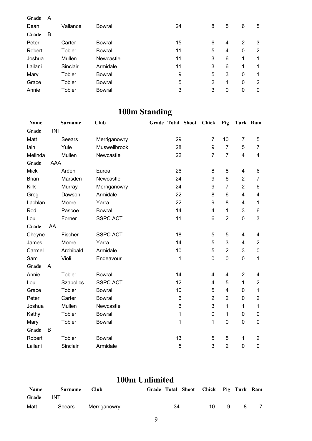| Grade   | A |          |               |    |                |   |              |   |
|---------|---|----------|---------------|----|----------------|---|--------------|---|
| Dean    |   | Vallance | Bowral        | 24 | 8              | 5 | 6            | 5 |
| Grade   | B |          |               |    |                |   |              |   |
| Peter   |   | Carter   | Bowral        | 15 | 6              | 4 | 2            | 3 |
| Robert  |   | Tobler   | Bowral        | 11 | 5              | 4 | 0            | 2 |
| Joshua  |   | Mullen   | Newcastle     | 11 | 3              | 6 | 1            | 1 |
| Lailani |   | Sinclair | Armidale      | 11 | 3              | 6 | 1            | 1 |
| Mary    |   | Tobler   | <b>Bowral</b> | 9  | 5              | 3 | $\mathbf{0}$ | 1 |
| Grace   |   | Tobler   | Bowral        | 5  | $\overline{2}$ | 1 | 0            | 2 |
| Annie   |   | Tobler   | Bowral        | 3  | 3              | 0 | 0            | 0 |

# **100m Standing**

| <b>Name</b>  |            | <b>Surname</b>   | Club            | Grade Total Shoot |              | <b>Chick</b>   | Pig            |                | Turk Ram                |
|--------------|------------|------------------|-----------------|-------------------|--------------|----------------|----------------|----------------|-------------------------|
| Grade        | <b>INT</b> |                  |                 |                   |              |                |                |                |                         |
| Matt         |            | Seears           | Merriganowry    |                   | 29           | $\overline{7}$ | 10             | 7              | 5                       |
| lain         |            | Yule             | Muswellbrook    |                   | 28           | 9              | $\overline{7}$ | 5              | $\overline{7}$          |
| Melinda      |            | Mullen           | Newcastle       |                   | 22           | $\overline{7}$ | $\overline{7}$ | $\overline{4}$ | $\overline{\mathbf{4}}$ |
| Grade        | AAA        |                  |                 |                   |              |                |                |                |                         |
| <b>Mick</b>  |            | Arden            | Euroa           |                   | 26           | 8              | 8              | 4              | 6                       |
| <b>Brian</b> |            | Marsden          | Newcastle       |                   | 24           | 9              | 6              | $\overline{2}$ | $\overline{7}$          |
| <b>Kirk</b>  |            | Murray           | Merriganowry    |                   | 24           | 9              | $\overline{7}$ | $\overline{2}$ | $\,6$                   |
| Greg         |            | Dawson           | Armidale        |                   | 22           | 8              | 6              | 4              | $\overline{\mathbf{4}}$ |
| Lachlan      |            | Moore            | Yarra           |                   | 22           | 9              | 8              | 4              | $\mathbf 1$             |
| Rod          |            | Pascoe           | <b>Bowral</b>   |                   | 14           | 4              | 1              | 3              | $\,6\,$                 |
| Lou          |            | Forner           | <b>SSPC ACT</b> |                   | 11           | 6              | $\overline{2}$ | 0              | 3                       |
| Grade        | AA         |                  |                 |                   |              |                |                |                |                         |
| Cheyne       |            | Fischer          | <b>SSPC ACT</b> |                   | 18           | 5              | 5              | 4              | 4                       |
| James        |            | Moore            | Yarra           |                   | 14           | 5              | 3              | 4              | $\overline{2}$          |
| Carmel       |            | Archibald        | Armidale        |                   | 10           | 5              | $\overline{2}$ | 3              | $\pmb{0}$               |
| Sam          |            | Violi            | Endeavour       |                   | 1            | 0              | $\pmb{0}$      | 0              | $\mathbf{1}$            |
| Grade        | A          |                  |                 |                   |              |                |                |                |                         |
| Annie        |            | Tobler           | <b>Bowral</b>   |                   | 14           | 4              | 4              | $\overline{2}$ | 4                       |
| Lou          |            | <b>Szabolics</b> | <b>SSPC ACT</b> |                   | 12           | 4              | 5              | $\mathbf{1}$   | $\mathbf{2}$            |
| Grace        |            | Tobler           | <b>Bowral</b>   |                   | 10           | 5              | 4              | 0              | 1                       |
| Peter        |            | Carter           | <b>Bowral</b>   |                   | 6            | $\overline{2}$ | $\overline{2}$ | 0              | $\overline{c}$          |
| Joshua       |            | Mullen           | Newcastle       |                   | 6            | 3              | 1              | $\mathbf{1}$   | 1                       |
| Kathy        |            | Tobler           | <b>Bowral</b>   |                   | $\mathbf{1}$ | 0              | 1              | 0              | $\mathbf 0$             |
| Mary         |            | Tobler           | <b>Bowral</b>   |                   | 1            | 1              | $\pmb{0}$      | $\pmb{0}$      | $\mathbf 0$             |
| Grade        | B          |                  |                 |                   |              |                |                |                |                         |
| Robert       |            | Tobler           | <b>Bowral</b>   |                   | 13           | 5              | 5              | 1              | $\overline{2}$          |
| Lailani      |            | Sinclair         | Armidale        |                   | 5            | 3              | $\overline{2}$ | $\mathbf 0$    | $\mathbf 0$             |

# **100m Unlimited**

| <b>Name</b> | Surname    | <b>Club</b>  |    | Grade Total Shoot Chick Pig Turk Ram |     |              |  |
|-------------|------------|--------------|----|--------------------------------------|-----|--------------|--|
| Grade       | <b>INT</b> |              |    |                                      |     |              |  |
| Matt        | Seears     | Merriganowry | 34 | 10. L                                | - 9 | $\mathbf{R}$ |  |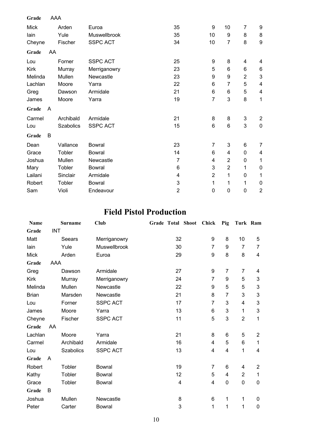| Grade       | AAA            |                  |                     |                |                |                |                |                |
|-------------|----------------|------------------|---------------------|----------------|----------------|----------------|----------------|----------------|
| Mick        |                | Arden            | Euroa               | 35             | 9              | 10             | 7              | 9              |
| lain        |                | Yule             | <b>Muswellbrook</b> | 35             | 10             | 9              | 8              | 8              |
| Cheyne      |                | Fischer          | <b>SSPC ACT</b>     | 34             | 10             | 7              | 8              | 9              |
| Grade       | AA             |                  |                     |                |                |                |                |                |
| Lou         |                | Forner           | <b>SSPC ACT</b>     | 25             | 9              | 8              | 4              | 4              |
| <b>Kirk</b> |                | Murray           | Merriganowry        | 23             | 5              | 6              | 6              | 6              |
| Melinda     |                | Mullen           | Newcastle           | 23             | 9              | 9              | $\overline{2}$ | 3              |
| Lachlan     |                | Moore            | Yarra               | 22             | 6              | 7              | 5              | 4              |
| Greg        |                | Dawson           | Armidale            | 21             | 6              | 6              | 5              | 4              |
| James       |                | Moore            | Yarra               | 19             | 7              | 3              | 8              | 1              |
| Grade       | $\overline{A}$ |                  |                     |                |                |                |                |                |
| Carmel      |                | Archibald        | Armidale            | 21             | 8              | 8              | 3              | $\overline{2}$ |
| Lou         |                | <b>Szabolics</b> | <b>SSPC ACT</b>     | 15             | $6\phantom{1}$ | $6\phantom{1}$ | 3              | $\mathbf 0$    |
| Grade       | B              |                  |                     |                |                |                |                |                |
| Dean        |                | Vallance         | <b>Bowral</b>       | 23             | 7              | 3              | 6              | 7              |
| Grace       |                | Tobler           | <b>Bowral</b>       | 14             | 6              | 4              | 0              | 4              |
| Joshua      |                | Mullen           | Newcastle           | $\overline{7}$ | 4              | $\overline{2}$ | 0              | $\mathbf 1$    |
| Mary        |                | Tobler           | <b>Bowral</b>       | 6              | 3              | $\overline{2}$ | 1              | 0              |
| Lailani     |                | Sinclair         | Armidale            | 4              | $\overline{2}$ | 1              | 0              | 1              |
| Robert      |                | Tobler           | <b>Bowral</b>       | 3              | 1              | 1              | 1              | 0              |
| Sam         |                | Violi            | Endeavour           | $\overline{2}$ | 0              | 0              | 0              | $\overline{2}$ |

### **Field Pistol Production**

| Name         |            | <b>Surname</b>   | <b>Club</b>     |                | Grade Total Shoot Chick |                | Pig            | Turk Ram       |                           |
|--------------|------------|------------------|-----------------|----------------|-------------------------|----------------|----------------|----------------|---------------------------|
| Grade        | <b>INT</b> |                  |                 |                |                         |                |                |                |                           |
| Matt         |            | Seears           | Merriganowry    | 32             |                         | 9              | 8              | 10             | 5                         |
| lain         |            | Yule             | Muswellbrook    | 30             |                         | $\overline{7}$ | 9              | 7              | 7                         |
| <b>Mick</b>  |            | Arden            | Euroa           | 29             |                         | 9              | 8              | 8              | $\overline{\mathbf{4}}$   |
| Grade        | AAA        |                  |                 |                |                         |                |                |                |                           |
| Greg         |            | Dawson           | Armidale        | 27             |                         | 9              | $\overline{7}$ | 7              | 4                         |
| <b>Kirk</b>  |            | Murray           | Merriganowry    | 24             |                         | 7              | 9              | 5              | 3                         |
| Melinda      |            | Mullen           | Newcastle       | 22             |                         | 9              | 5              | 5              | 3                         |
| <b>Brian</b> |            | Marsden          | Newcastle       | 21             |                         | 8              | 7              | 3              | $\ensuremath{\mathsf{3}}$ |
| Lou          |            | Forner           | <b>SSPC ACT</b> | 17             |                         | $\overline{7}$ | 3              | 4              | $\mathbf{3}$              |
| James        |            | Moore            | Yarra           | 13             |                         | 6              | 3              | 1              | 3                         |
| Cheyne       |            | Fischer          | <b>SSPC ACT</b> | 11             |                         | 5              | 3              | $\overline{2}$ | 1                         |
| Grade        | AA         |                  |                 |                |                         |                |                |                |                           |
| Lachlan      |            | Moore            | Yarra           | 21             |                         | 8              | 6              | 5              | $\overline{2}$            |
| Carmel       |            | Archibald        | Armidale        | 16             |                         | 4              | 5              | 6              | 1                         |
| Lou          |            | <b>Szabolics</b> | <b>SSPC ACT</b> | 13             |                         | 4              | 4              | 1              | 4                         |
| Grade        | A          |                  |                 |                |                         |                |                |                |                           |
| Robert       |            | Tobler           | <b>Bowral</b>   | 19             |                         | 7              | 6              | 4              | $\overline{2}$            |
| Kathy        |            | Tobler           | Bowral          | 12             |                         | 5              | 4              | $\overline{2}$ | 1                         |
| Grace        |            | Tobler           | <b>Bowral</b>   | $\overline{4}$ |                         | 4              | 0              | 0              | $\mathbf 0$               |
| Grade        | B          |                  |                 |                |                         |                |                |                |                           |
| Joshua       |            | Mullen           | Newcastle       | 8              |                         | 6              | 1              | 1              | 0                         |
| Peter        |            | Carter           | <b>Bowral</b>   | 3              |                         | 1              | 1              | 1              | $\mathbf 0$               |